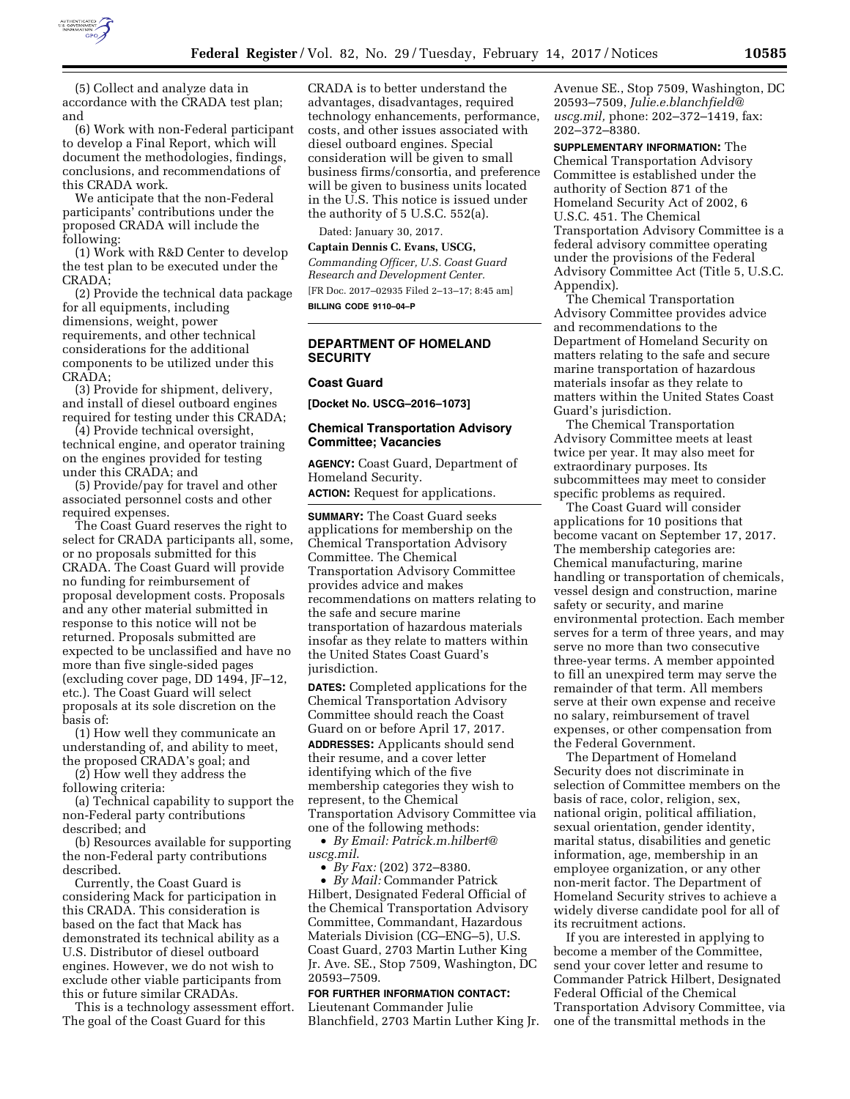

(5) Collect and analyze data in accordance with the CRADA test plan; and

(6) Work with non-Federal participant to develop a Final Report, which will document the methodologies, findings, conclusions, and recommendations of this CRADA work.

We anticipate that the non-Federal participants' contributions under the proposed CRADA will include the following:

(1) Work with R&D Center to develop the test plan to be executed under the CRADA;

(2) Provide the technical data package for all equipments, including dimensions, weight, power requirements, and other technical considerations for the additional components to be utilized under this CRADA;

(3) Provide for shipment, delivery, and install of diesel outboard engines required for testing under this CRADA;

(4) Provide technical oversight, technical engine, and operator training on the engines provided for testing under this CRADA; and

(5) Provide/pay for travel and other associated personnel costs and other required expenses.

The Coast Guard reserves the right to select for CRADA participants all, some, or no proposals submitted for this CRADA. The Coast Guard will provide no funding for reimbursement of proposal development costs. Proposals and any other material submitted in response to this notice will not be returned. Proposals submitted are expected to be unclassified and have no more than five single-sided pages (excluding cover page, DD 1494, JF–12, etc.). The Coast Guard will select proposals at its sole discretion on the basis of:

(1) How well they communicate an understanding of, and ability to meet, the proposed CRADA's goal; and

(2) How well they address the following criteria:

(a) Technical capability to support the non-Federal party contributions described; and

(b) Resources available for supporting the non-Federal party contributions described.

Currently, the Coast Guard is considering Mack for participation in this CRADA. This consideration is based on the fact that Mack has demonstrated its technical ability as a U.S. Distributor of diesel outboard engines. However, we do not wish to exclude other viable participants from this or future similar CRADAs.

This is a technology assessment effort. The goal of the Coast Guard for this

CRADA is to better understand the advantages, disadvantages, required technology enhancements, performance, costs, and other issues associated with diesel outboard engines. Special consideration will be given to small business firms/consortia, and preference will be given to business units located in the U.S. This notice is issued under the authority of 5 U.S.C. 552(a).

Dated: January 30, 2017.

**Captain Dennis C. Evans, USCG,**  *Commanding Officer, U.S. Coast Guard Research and Development Center.*  [FR Doc. 2017–02935 Filed 2–13–17; 8:45 am] **BILLING CODE 9110–04–P** 

# **DEPARTMENT OF HOMELAND SECURITY**

#### **Coast Guard**

**[Docket No. USCG–2016–1073]** 

#### **Chemical Transportation Advisory Committee; Vacancies**

**AGENCY:** Coast Guard, Department of Homeland Security.

**ACTION:** Request for applications.

**SUMMARY:** The Coast Guard seeks applications for membership on the Chemical Transportation Advisory Committee. The Chemical Transportation Advisory Committee provides advice and makes recommendations on matters relating to the safe and secure marine transportation of hazardous materials insofar as they relate to matters within the United States Coast Guard's jurisdiction.

**DATES:** Completed applications for the Chemical Transportation Advisory Committee should reach the Coast Guard on or before April 17, 2017.

**ADDRESSES:** Applicants should send their resume, and a cover letter identifying which of the five membership categories they wish to represent, to the Chemical Transportation Advisory Committee via one of the following methods:

• *By Email: [Patrick.m.hilbert@](mailto:Patrick.m.hilbert@uscg.mil) [uscg.mil](mailto:Patrick.m.hilbert@uscg.mil)*.

• *By Fax:* (202) 372–8380.

• *By Mail:* Commander Patrick Hilbert, Designated Federal Official of the Chemical Transportation Advisory Committee, Commandant, Hazardous Materials Division (CG–ENG–5), U.S. Coast Guard, 2703 Martin Luther King Jr. Ave. SE., Stop 7509, Washington, DC 20593–7509.

# **FOR FURTHER INFORMATION CONTACT:**

Lieutenant Commander Julie Blanchfield, 2703 Martin Luther King Jr.

Avenue SE., Stop 7509, Washington, DC 20593–7509, *[Julie.e.blanchfield@](mailto:Julie.e.blanchfield@uscg.mil) [uscg.mil,](mailto:Julie.e.blanchfield@uscg.mil)* phone: 202–372–1419, fax: 202–372–8380.

**SUPPLEMENTARY INFORMATION:** The Chemical Transportation Advisory Committee is established under the authority of Section 871 of the Homeland Security Act of 2002, 6 U.S.C. 451. The Chemical Transportation Advisory Committee is a federal advisory committee operating under the provisions of the Federal Advisory Committee Act (Title 5, U.S.C. Appendix).

The Chemical Transportation Advisory Committee provides advice and recommendations to the Department of Homeland Security on matters relating to the safe and secure marine transportation of hazardous materials insofar as they relate to matters within the United States Coast Guard's jurisdiction.

The Chemical Transportation Advisory Committee meets at least twice per year. It may also meet for extraordinary purposes. Its subcommittees may meet to consider specific problems as required.

The Coast Guard will consider applications for 10 positions that become vacant on September 17, 2017. The membership categories are: Chemical manufacturing, marine handling or transportation of chemicals, vessel design and construction, marine safety or security, and marine environmental protection. Each member serves for a term of three years, and may serve no more than two consecutive three-year terms. A member appointed to fill an unexpired term may serve the remainder of that term. All members serve at their own expense and receive no salary, reimbursement of travel expenses, or other compensation from the Federal Government.

The Department of Homeland Security does not discriminate in selection of Committee members on the basis of race, color, religion, sex, national origin, political affiliation, sexual orientation, gender identity, marital status, disabilities and genetic information, age, membership in an employee organization, or any other non-merit factor. The Department of Homeland Security strives to achieve a widely diverse candidate pool for all of its recruitment actions.

If you are interested in applying to become a member of the Committee, send your cover letter and resume to Commander Patrick Hilbert, Designated Federal Official of the Chemical Transportation Advisory Committee, via one of the transmittal methods in the